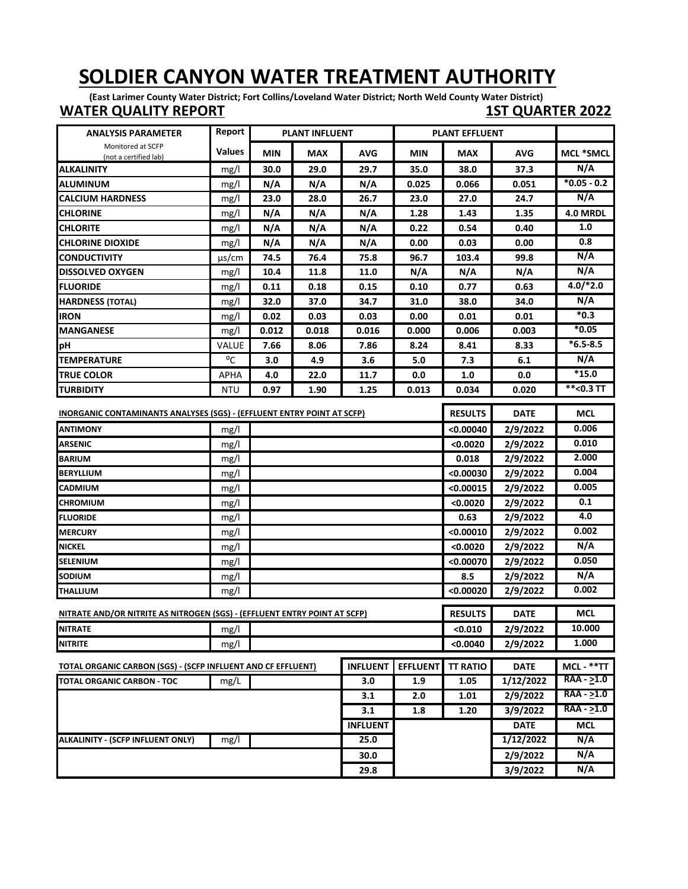## **SOLDIER CANYON WATER TREATMENT AUTHORITY**

**(East Larimer County Water District; Fort Collins/Loveland Water District; North Weld County Water District) WATER QUALITY REPORT 1ST QUARTER 2022**

| <b>ANALYSIS PARAMETER</b>                                                     | Report       |            | <b>PLANT INFLUENT</b> |                 |                 | <b>PLANT EFFLUENT</b> |             |                  |
|-------------------------------------------------------------------------------|--------------|------------|-----------------------|-----------------|-----------------|-----------------------|-------------|------------------|
| Monitored at SCFP<br>(not a certified lab)                                    | Values       | <b>MIN</b> | <b>MAX</b>            | <b>AVG</b>      | <b>MIN</b>      | <b>MAX</b>            | <b>AVG</b>  | <b>MCL *SMCL</b> |
| <b>ALKALINITY</b>                                                             | mg/l         | 30.0       | 29.0                  | 29.7            | 35.0            | 38.0                  | 37.3        | N/A              |
| ALUMINUM                                                                      | mg/l         | N/A        | N/A                   | N/A             | 0.025           | 0.066                 | 0.051       | $*0.05 - 0.2$    |
| <b>CALCIUM HARDNESS</b>                                                       | mg/l         | 23.0       | 28.0                  | 26.7            | 23.0            | 27.0                  | 24.7        | N/A              |
| <b>CHLORINE</b>                                                               | mg/l         | N/A        | N/A                   | N/A             | 1.28            | 1.43                  | 1.35        | 4.0 MRDL         |
| <b>CHLORITE</b>                                                               | mg/l         | N/A        | N/A                   | N/A             | 0.22            | 0.54                  | 0.40        | 1.0              |
| <b>CHLORINE DIOXIDE</b>                                                       | mg/l         | N/A        | N/A                   | N/A             | 0.00            | 0.03                  | 0.00        | 0.8              |
| <b>CONDUCTIVITY</b>                                                           | $\mu$ s/cm   | 74.5       | 76.4                  | 75.8            | 96.7            | 103.4                 | 99.8        | N/A              |
| <b>DISSOLVED OXYGEN</b>                                                       | mg/l         | 10.4       | 11.8                  | 11.0            | N/A             | N/A                   | N/A         | N/A              |
| <b>FLUORIDE</b>                                                               | mg/l         | 0.11       | 0.18                  | 0.15            | 0.10            | 0.77                  | 0.63        | $4.0$ /*2.0      |
| <b>HARDNESS (TOTAL)</b>                                                       | mg/l         | 32.0       | 37.0                  | 34.7            | 31.0            | 38.0                  | 34.0        | N/A              |
| <b>IRON</b>                                                                   | mg/l         | 0.02       | 0.03                  | 0.03            | 0.00            | 0.01                  | 0.01        | $*_{0.3}$        |
| <b>MANGANESE</b>                                                              | mg/l         | 0.012      | 0.018                 | 0.016           | 0.000           | 0.006                 | 0.003       | $*0.05$          |
| pН                                                                            | <b>VALUE</b> | 7.66       | 8.06                  | 7.86            | 8.24            | 8.41                  | 8.33        | $*6.5 - 8.5$     |
| <b>TEMPERATURE</b>                                                            | °C           | 3.0        | 4.9                   | 3.6             | 5.0             | 7.3                   | 6.1         | N/A              |
| <b>TRUE COLOR</b>                                                             | <b>APHA</b>  | 4.0        | 22.0                  | 11.7            | 0.0             | 1.0                   | 0.0         | $*15.0$          |
| <b>TURBIDITY</b>                                                              | <b>NTU</b>   | 0.97       | 1.90                  | 1.25            | 0.013           | 0.034                 | 0.020       | $*$ <0.3 TT      |
| <b>INORGANIC CONTAMINANTS ANALYSES (SGS) - (EFFLUENT ENTRY POINT AT SCFP)</b> |              |            |                       |                 |                 | <b>RESULTS</b>        | <b>DATE</b> | <b>MCL</b>       |
| <b>ANTIMONY</b>                                                               | mg/l         |            |                       |                 |                 | < 0.00040             | 2/9/2022    | 0.006            |
| <b>ARSENIC</b>                                                                | mg/l         |            |                       |                 |                 | <0.0020               | 2/9/2022    | 0.010            |
| <b>BARIUM</b>                                                                 | mg/l         |            |                       |                 |                 | 0.018                 | 2/9/2022    | 2.000            |
| <b>BERYLLIUM</b>                                                              | mg/l         |            |                       |                 |                 | < 0.00030             | 2/9/2022    | 0.004            |
| CADMIUM                                                                       | mg/l         |            |                       |                 |                 | < 0.00015             | 2/9/2022    | 0.005            |
| <b>CHROMIUM</b>                                                               | mg/l         |            |                       |                 |                 | <0.0020               | 2/9/2022    | 0.1              |
| <b>FLUORIDE</b>                                                               | mg/l         |            |                       |                 |                 | 0.63                  | 2/9/2022    | 4.0              |
| <b>MERCURY</b>                                                                | mg/l         |            |                       |                 |                 | < 0.00010             | 2/9/2022    | 0.002            |
| <b>NICKEL</b>                                                                 | mg/l         |            |                       |                 |                 | <0.0020               | 2/9/2022    | N/A              |
| <b>SELENIUM</b>                                                               | mg/l         |            |                       |                 |                 | < 0.00070             | 2/9/2022    | 0.050            |
| <b>SODIUM</b>                                                                 | mg/l         |            |                       |                 |                 | 8.5                   | 2/9/2022    | N/A              |
| <b>THALLIUM</b>                                                               | mg/l         |            |                       |                 |                 | < 0.00020             | 2/9/2022    | 0.002            |
| NITRATE AND/OR NITRITE AS NITROGEN (SGS) - (EFFLUENT ENTRY POINT AT SCFP)     |              |            |                       |                 |                 | <b>RESULTS</b>        | <b>DATE</b> | MCL              |
| <b>NITRATE</b>                                                                |              |            |                       |                 |                 | < 0.010               | 2/9/2022    | 10.000           |
| <b>NITRITE</b>                                                                | mg/l         |            |                       |                 |                 | <0.0040               | 2/9/2022    | 1.000            |
|                                                                               | mg/l         |            |                       |                 |                 |                       |             |                  |
| TOTAL ORGANIC CARBON (SGS) - (SCFP INFLUENT AND CF EFFLUENT)                  |              |            |                       | <b>INFLUENT</b> | <b>EFFLUENT</b> | <b>TT RATIO</b>       | <b>DATE</b> | MCL - **TT       |
| <b>TOTAL ORGANIC CARBON - TOC</b>                                             | mg/L         |            |                       | 3.0             | 1.9             | 1.05                  | 1/12/2022   | RAA - >1.0       |
|                                                                               |              |            |                       | 3.1             | 2.0             | 1.01                  | 2/9/2022    | RAA - >1.0       |
|                                                                               |              |            |                       | 3.1             | 1.8             | 1.20                  | 3/9/2022    | $RAA - 51.0$     |
|                                                                               |              |            |                       | <b>INFLUENT</b> |                 |                       | <b>DATE</b> | <b>MCL</b>       |
| <b>ALKALINITY - (SCFP INFLUENT ONLY)</b>                                      | mg/l         |            |                       | 25.0            |                 |                       | 1/12/2022   | N/A              |
|                                                                               |              |            |                       | 30.0            |                 |                       | 2/9/2022    | N/A              |
|                                                                               |              |            |                       | 29.8            |                 |                       | 3/9/2022    | N/A              |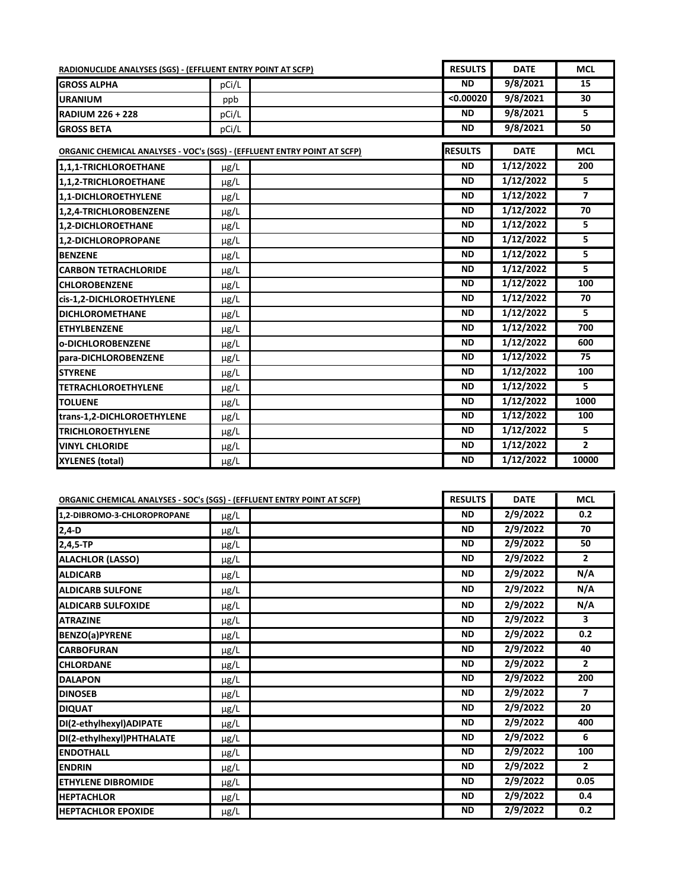| RADIONUCLIDE ANALYSES (SGS) - (EFFLUENT ENTRY POINT AT SCFP)                    |           | <b>RESULTS</b> | <b>DATE</b> | <b>MCL</b>     |
|---------------------------------------------------------------------------------|-----------|----------------|-------------|----------------|
| <b>GROSS ALPHA</b>                                                              | pCi/L     | <b>ND</b>      | 9/8/2021    | 15             |
| <b>URANIUM</b>                                                                  | ppb       | < 0.00020      | 9/8/2021    | 30             |
| <b>RADIUM 226 + 228</b>                                                         | pCi/L     | <b>ND</b>      | 9/8/2021    | 5              |
| <b>GROSS BETA</b>                                                               | pCi/L     | <b>ND</b>      | 9/8/2021    | 50             |
| <b>ORGANIC CHEMICAL ANALYSES - VOC's (SGS) - (EFFLUENT ENTRY POINT AT SCFP)</b> |           | <b>RESULTS</b> | <b>DATE</b> | <b>MCL</b>     |
| 1,1,1-TRICHLOROETHANE                                                           | μg/L      | <b>ND</b>      | 1/12/2022   | 200            |
| 1,1,2-TRICHLOROETHANE                                                           | µg/L      | <b>ND</b>      | 1/12/2022   | 5.             |
| 1.1-DICHLOROETHYLENE                                                            | μg/L      | <b>ND</b>      | 1/12/2022   | $\overline{7}$ |
| 1,2,4-TRICHLOROBENZENE                                                          | $\mu$ g/L | <b>ND</b>      | 1/12/2022   | 70             |
| 1.2-DICHLOROETHANE                                                              | $\mu$ g/L | <b>ND</b>      | 1/12/2022   | 5              |
| 1.2-DICHLOROPROPANE                                                             | $\mu$ g/L | <b>ND</b>      | 1/12/2022   | 5.             |
| <b>BENZENE</b>                                                                  | µg/L      | <b>ND</b>      | 1/12/2022   | 5.             |
| <b>CARBON TETRACHLORIDE</b>                                                     | μg/L      | <b>ND</b>      | 1/12/2022   | 5.             |
| <b>CHLOROBENZENE</b>                                                            | µg/L      | <b>ND</b>      | 1/12/2022   | 100            |
| cis-1,2-DICHLOROETHYLENE                                                        | µg/L      | <b>ND</b>      | 1/12/2022   | 70             |
| <b>DICHLOROMETHANE</b>                                                          | μg/L      | <b>ND</b>      | 1/12/2022   | 5.             |
| <b>ETHYLBENZENE</b>                                                             | µg/L      | <b>ND</b>      | 1/12/2022   | 700            |
| o-DICHLOROBENZENE                                                               | µg/L      | <b>ND</b>      | 1/12/2022   | 600            |
| para-DICHLOROBENZENE                                                            | μg/L      | <b>ND</b>      | 1/12/2022   | 75             |
| <b>STYRENE</b>                                                                  | µg/L      | <b>ND</b>      | 1/12/2022   | 100            |
| <b>TETRACHLOROETHYLENE</b>                                                      | µg/L      | <b>ND</b>      | 1/12/2022   | 5              |
| <b>TOLUENE</b>                                                                  | μg/L      | <b>ND</b>      | 1/12/2022   | 1000           |
| trans-1,2-DICHLOROETHYLENE                                                      | µg/L      | <b>ND</b>      | 1/12/2022   | 100            |
| <b>TRICHLOROETHYLENE</b>                                                        | µg/L      | <b>ND</b>      | 1/12/2022   | 5              |
| <b>VINYL CHLORIDE</b>                                                           | µg/L      | <b>ND</b>      | 1/12/2022   | $\mathbf{2}$   |
| <b>XYLENES (total)</b>                                                          | μg/L      | <b>ND</b>      | 1/12/2022   | 10000          |

|                             | <b>ORGANIC CHEMICAL ANALYSES - SOC's (SGS) - (EFFLUENT ENTRY POINT AT SCFP)</b> | <b>RESULTS</b> | <b>DATE</b> | <b>MCL</b>     |
|-----------------------------|---------------------------------------------------------------------------------|----------------|-------------|----------------|
| 1,2-DIBROMO-3-CHLOROPROPANE | $\mu$ g/L                                                                       | <b>ND</b>      | 2/9/2022    | 0.2            |
| $2,4-D$                     | μg/L                                                                            | <b>ND</b>      | 2/9/2022    | 70             |
| 2,4,5-TP                    | µg/L                                                                            | <b>ND</b>      | 2/9/2022    | 50             |
| <b>ALACHLOR (LASSO)</b>     | µg/L                                                                            | <b>ND</b>      | 2/9/2022    | $\overline{2}$ |
| <b>ALDICARB</b>             | μg/L                                                                            | <b>ND</b>      | 2/9/2022    | N/A            |
| <b>ALDICARB SULFONE</b>     | µg/L                                                                            | <b>ND</b>      | 2/9/2022    | N/A            |
| <b>ALDICARB SULFOXIDE</b>   | µg/L                                                                            | <b>ND</b>      | 2/9/2022    | N/A            |
| <b>ATRAZINE</b>             | $\mu$ g/L                                                                       | <b>ND</b>      | 2/9/2022    | 3              |
| <b>BENZO(a)PYRENE</b>       | μg/L                                                                            | <b>ND</b>      | 2/9/2022    | 0.2            |
| <b>CARBOFURAN</b>           | µg/L                                                                            | <b>ND</b>      | 2/9/2022    | 40             |
| <b>CHLORDANE</b>            | $\mu$ g/L                                                                       | <b>ND</b>      | 2/9/2022    | $\overline{2}$ |
| <b>DALAPON</b>              | $\mu$ g/L                                                                       | <b>ND</b>      | 2/9/2022    | 200            |
| <b>DINOSEB</b>              | µg/L                                                                            | <b>ND</b>      | 2/9/2022    | $\overline{7}$ |
| <b>DIQUAT</b>               | $\mu$ g/L                                                                       | <b>ND</b>      | 2/9/2022    | 20             |
| DI(2-ethylhexyl)ADIPATE     | μg/L                                                                            | <b>ND</b>      | 2/9/2022    | 400            |
| DI(2-ethylhexyl)PHTHALATE   | µg/L                                                                            | <b>ND</b>      | 2/9/2022    | 6              |
| <b>ENDOTHALL</b>            | μg/L                                                                            | <b>ND</b>      | 2/9/2022    | 100            |
| <b>ENDRIN</b>               | μg/L                                                                            | <b>ND</b>      | 2/9/2022    | $\overline{2}$ |
| <b>ETHYLENE DIBROMIDE</b>   | µg/L                                                                            | <b>ND</b>      | 2/9/2022    | 0.05           |
| <b>HEPTACHLOR</b>           | $\mu$ g/L                                                                       | <b>ND</b>      | 2/9/2022    | 0.4            |
| <b>HEPTACHLOR EPOXIDE</b>   | µg/L                                                                            | <b>ND</b>      | 2/9/2022    | 0.2            |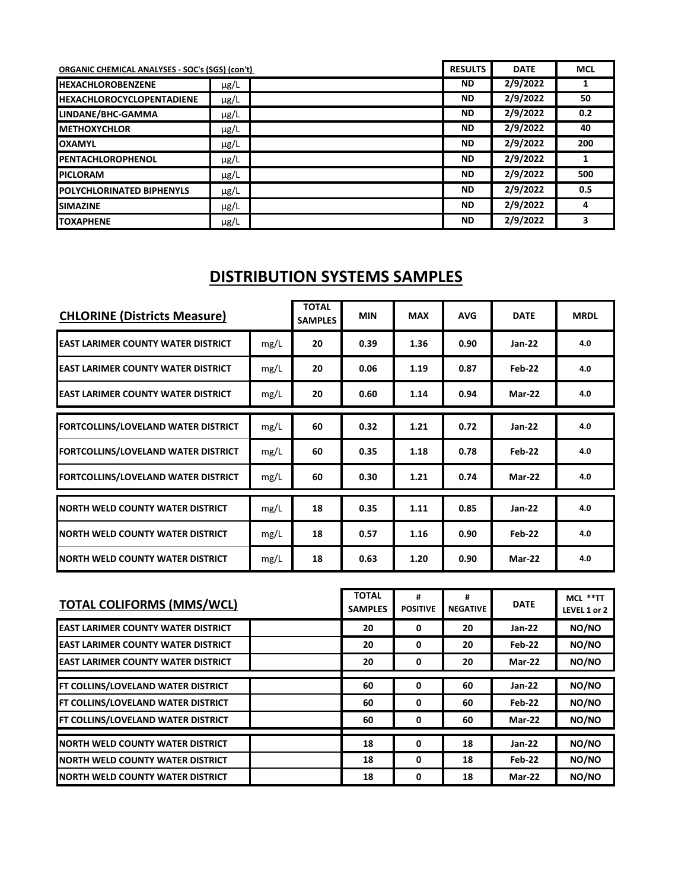| <b>ORGANIC CHEMICAL ANALYSES - SOC's (SGS) (con't)</b> |           | <b>RESULTS</b> | <b>DATE</b> | <b>MCL</b> |
|--------------------------------------------------------|-----------|----------------|-------------|------------|
| <b>IHEXACHLOROBENZENE</b>                              | $\mu$ g/L | <b>ND</b>      | 2/9/2022    |            |
| <b>HEXACHLOROCYCLOPENTADIENE</b>                       | $\mu$ g/L | <b>ND</b>      | 2/9/2022    | 50         |
| LINDANE/BHC-GAMMA                                      | µg/L      | <b>ND</b>      | 2/9/2022    | 0.2        |
| <b>IMETHOXYCHLOR</b>                                   | $\mu$ g/L | <b>ND</b>      | 2/9/2022    | 40         |
| <b>OXAMYL</b>                                          | $\mu$ g/L | <b>ND</b>      | 2/9/2022    | 200        |
| <b>IPENTACHLOROPHENOL</b>                              | µg/L      | <b>ND</b>      | 2/9/2022    |            |
| <b>PICLORAM</b>                                        | $\mu$ g/L | <b>ND</b>      | 2/9/2022    | 500        |
| <b>POLYCHLORINATED BIPHENYLS</b>                       | $\mu$ g/L | <b>ND</b>      | 2/9/2022    | 0.5        |
| <b>SIMAZINE</b>                                        | $\mu$ g/L | <b>ND</b>      | 2/9/2022    | 4          |
| <b>TOXAPHENE</b>                                       | $\mu$ g/L | <b>ND</b>      | 2/9/2022    | 3          |

## **DISTRIBUTION SYSTEMS SAMPLES**

| <b>CHLORINE (Districts Measure)</b>        |      | <b>TOTAL</b><br><b>SAMPLES</b> | <b>MIN</b> | <b>MAX</b> | <b>AVG</b> | <b>DATE</b>   | <b>MRDL</b> |
|--------------------------------------------|------|--------------------------------|------------|------------|------------|---------------|-------------|
| <b>EAST LARIMER COUNTY WATER DISTRICT</b>  | mg/L | 20                             | 0.39       | 1.36       | 0.90       | <b>Jan-22</b> | 4.0         |
| <b>EAST LARIMER COUNTY WATER DISTRICT</b>  | mg/L | 20                             | 0.06       | 1.19       | 0.87       | Feb-22        | 4.0         |
| <b>EAST LARIMER COUNTY WATER DISTRICT</b>  | mg/L | 20                             | 0.60       | 1.14       | 0.94       | <b>Mar-22</b> | 4.0         |
| <b>FORTCOLLINS/LOVELAND WATER DISTRICT</b> | mg/L | 60                             | 0.32       | 1.21       | 0.72       | $Jan-22$      | 4.0         |
| <b>FORTCOLLINS/LOVELAND WATER DISTRICT</b> | mg/L | 60                             | 0.35       | 1.18       | 0.78       | Feb-22        | 4.0         |
| <b>FORTCOLLINS/LOVELAND WATER DISTRICT</b> | mg/L | 60                             | 0.30       | 1.21       | 0.74       | $Mar-22$      | 4.0         |
| <b>NORTH WELD COUNTY WATER DISTRICT</b>    | mg/L | 18                             | 0.35       | 1.11       | 0.85       | <b>Jan-22</b> | 4.0         |
| <b>NORTH WELD COUNTY WATER DISTRICT</b>    | mg/L | 18                             | 0.57       | 1.16       | 0.90       | Feb-22        | 4.0         |
| INORTH WELD COUNTY WATER DISTRICT          | mg/L | 18                             | 0.63       | 1.20       | 0.90       | Mar-22        | 4.0         |

| <b>TOTAL COLIFORMS (MMS/WCL)</b>          | <b>TOTAL</b><br><b>SAMPLES</b> | #<br><b>POSITIVE</b> | #<br><b>NEGATIVE</b> | <b>DATE</b>   | MCL **TT<br>LEVEL 1 or 2 |
|-------------------------------------------|--------------------------------|----------------------|----------------------|---------------|--------------------------|
| <b>EAST LARIMER COUNTY WATER DISTRICT</b> | 20                             | 0                    | 20                   | $Jan-22$      | NO/NO                    |
| <b>EAST LARIMER COUNTY WATER DISTRICT</b> | 20                             | 0                    | 20                   | Feb-22        | NO/NO                    |
| <b>EAST LARIMER COUNTY WATER DISTRICT</b> | 20                             | 0                    | 20                   | <b>Mar-22</b> | NO/NO                    |
| FT COLLINS/LOVELAND WATER DISTRICT        | 60                             | 0                    | 60                   | $Jan-22$      | NO/NO                    |
| FT COLLINS/LOVELAND WATER DISTRICT        | 60                             | 0                    | 60                   | Feb-22        | NO/NO                    |
| FT COLLINS/LOVELAND WATER DISTRICT        | 60                             | 0                    | 60                   | <b>Mar-22</b> | NO/NO                    |
| <b>NORTH WELD COUNTY WATER DISTRICT</b>   | 18                             | 0                    | 18                   | $Jan-22$      | NO/NO                    |
| <b>NORTH WELD COUNTY WATER DISTRICT</b>   | 18                             | 0                    | 18                   | Feb-22        | NO/NO                    |
| <b>NORTH WELD COUNTY WATER DISTRICT</b>   | 18                             | 0                    | 18                   | <b>Mar-22</b> | NO/NO                    |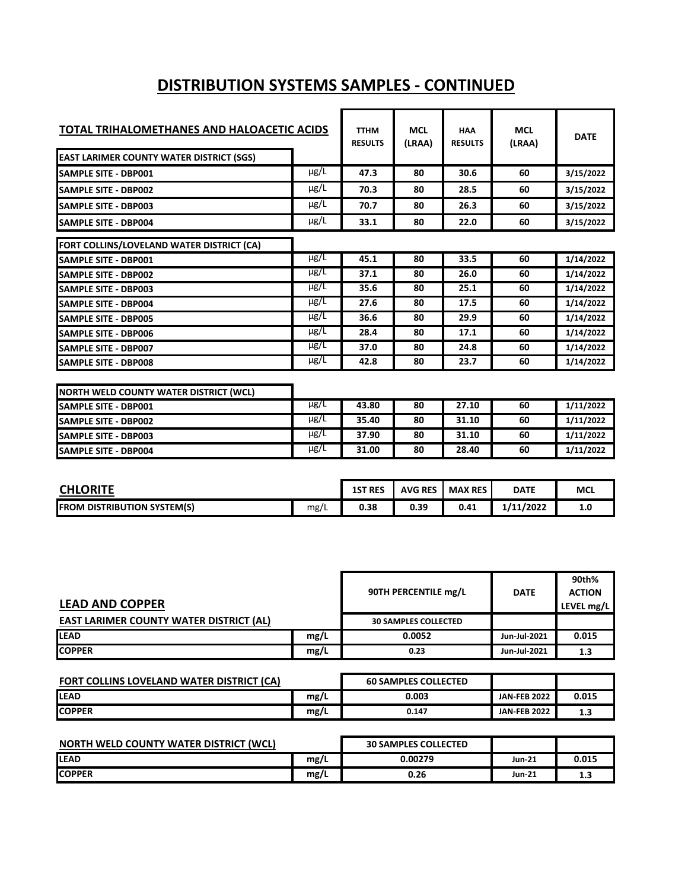## **DISTRIBUTION SYSTEMS SAMPLES - CONTINUED**

| TOTAL TRIHALOMETHANES AND HALOACETIC ACIDS      |           | <b>TTHM</b><br><b>RESULTS</b> | <b>MCL</b><br>(LRAA) | <b>HAA</b><br><b>RESULTS</b> | <b>MCL</b><br>(LRAA) | <b>DATE</b> |
|-------------------------------------------------|-----------|-------------------------------|----------------------|------------------------------|----------------------|-------------|
| <b>EAST LARIMER COUNTY WATER DISTRICT (SGS)</b> |           |                               |                      |                              |                      |             |
| <b>SAMPLE SITE - DBP001</b>                     | $\mu$ g/L | 47.3                          | 80                   | 30.6                         | 60                   | 3/15/2022   |
| <b>SAMPLE SITE - DBP002</b>                     | $\mu$ g/L | 70.3                          | 80                   | 28.5                         | 60                   | 3/15/2022   |
| <b>ISAMPLE SITE - DBP003</b>                    | $\mu$ g/L | 70.7                          | 80                   | 26.3                         | 60                   | 3/15/2022   |
| <b>SAMPLE SITE - DBP004</b>                     | $\mu$ g/L | 33.1                          | 80                   | 22.0                         | 60                   | 3/15/2022   |
| FORT COLLINS/LOVELAND WATER DISTRICT (CA)       |           |                               |                      |                              |                      |             |
| <b>SAMPLE SITE - DBP001</b>                     | $\mu$ g/L | 45.1                          | 80                   | 33.5                         | 60                   | 1/14/2022   |
| <b>SAMPLE SITE - DBP002</b>                     | $\mu$ g/L | 37.1                          | 80                   | 26.0                         | 60                   | 1/14/2022   |
| <b>I</b> SAMPLE SITE - DBP003                   | $\mu$ g/L | 35.6                          | 80                   | 25.1                         | 60                   | 1/14/2022   |
| <b>SAMPLE SITE - DBP004</b>                     | $\mu$ g/L | 27.6                          | 80                   | 17.5                         | 60                   | 1/14/2022   |
| <b>ISAMPLE SITE - DBP005</b>                    | $\mu$ g/L | 36.6                          | 80                   | 29.9                         | 60                   | 1/14/2022   |
| <b>ISAMPLE SITE - DBP006</b>                    | $\mu$ g/L | 28.4                          | 80                   | 17.1                         | 60                   | 1/14/2022   |
| <b>SAMPLE SITE - DBP007</b>                     | $\mu$ g/L | 37.0                          | 80                   | 24.8                         | 60                   | 1/14/2022   |
| <b>SAMPLE SITE - DBP008</b>                     | $\mu$ g/L | 42.8                          | 80                   | 23.7                         | 60                   | 1/14/2022   |
| NORTH WELD COUNTY WATER DISTRICT (WCL)          |           |                               |                      |                              |                      |             |

| .                            |           |       |    |       |    |           |
|------------------------------|-----------|-------|----|-------|----|-----------|
| <b>ISAMPLE SITE - DBP001</b> | $\mu$ g/L | 43.80 | 80 | 27.10 | 60 | 1/11/2022 |
| <b>ISAMPLE SITE - DBP002</b> | $\mu$ g/L | 35.40 | 80 | 31.10 | 60 | 1/11/2022 |
| <b>ISAMPLE SITE - DBP003</b> | $\mu$ g/L | 37.90 | 80 | 31.10 | 60 | 1/11/2022 |
| <b>ISAMPLE SITE - DBP004</b> | $\mu$ g/L | 31.00 | 80 | 28.40 | 60 | 1/11/2022 |

| <b>CHLORITE</b>                    |      | <b>1ST RES</b> | <b>AVG RES</b> | <b>MAX RES</b> | <b>DATE</b> | <b>MCL</b> |
|------------------------------------|------|----------------|----------------|----------------|-------------|------------|
| <b>FROM DISTRIBUTION SYSTEM(S)</b> | mg/L | 0.38           | 0.39           | 0.41           | 1/11/2022   | 1.u        |

| <b>LEAD AND COPPER</b>                         |      | 90TH PERCENTILE mg/L        | <b>DATE</b>  | 90th%<br><b>ACTION</b><br>LEVEL mg/L |
|------------------------------------------------|------|-----------------------------|--------------|--------------------------------------|
| <b>EAST LARIMER COUNTY WATER DISTRICT (AL)</b> |      | <b>30 SAMPLES COLLECTED</b> |              |                                      |
| <b>ILEAD</b>                                   | mg/L | 0.0052                      | Jun-Jul-2021 | 0.015                                |
| <b>ICOPPER</b>                                 | mg/L | 0.23                        | Jun-Jul-2021 | 1.3                                  |

| <b>FORT COLLINS LOVELAND WATER DISTRICT (CA)</b> |      | <b>60 SAMPLES COLLECTED</b> |                     |       |
|--------------------------------------------------|------|-----------------------------|---------------------|-------|
| <b>ILEAD</b>                                     | mg/L | 0.003                       | <b>JAN-FEB 2022</b> | 0.015 |
| <b>ICOPPER</b>                                   | mg/L | 0.147                       | <b>JAN-FEB 2022</b> | 1.3   |

| NORTH WELD COUNTY WATER DISTRICT (WCL) |      | <b>30 SAMPLES COLLECTED</b> |               |       |
|----------------------------------------|------|-----------------------------|---------------|-------|
| <b>ILEAD</b>                           | mg/L | 0.00279                     | <b>Jun-21</b> | 0.015 |
| <b>COPPER</b>                          | mg/L | 0.26                        | <b>Jun-21</b> | 1.3   |